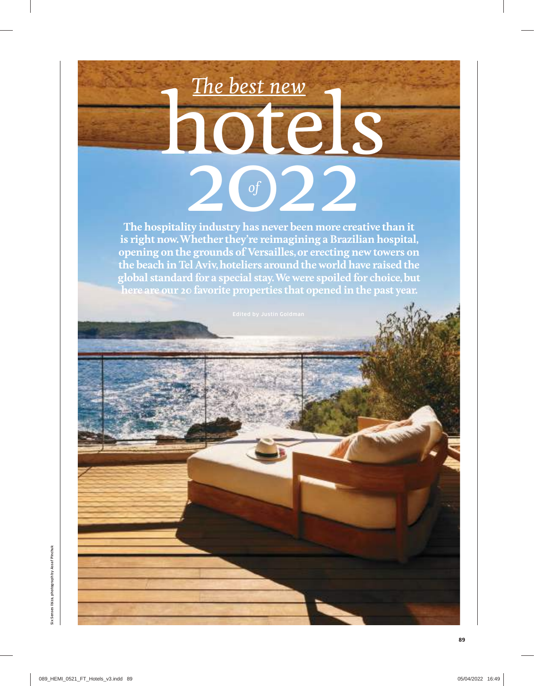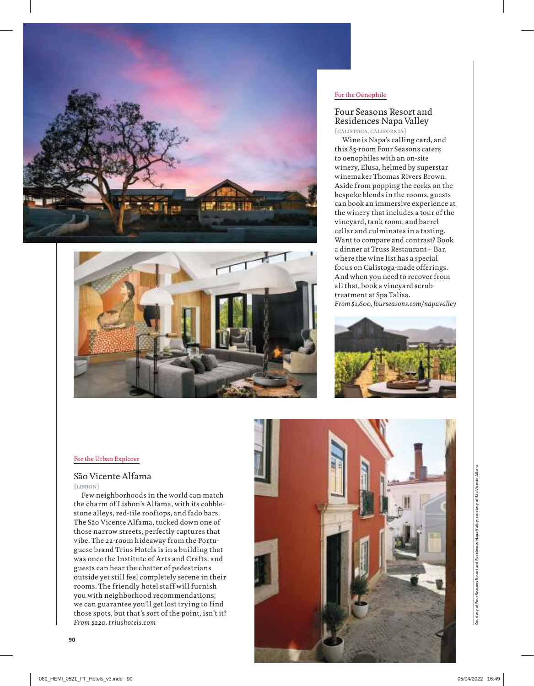



#### For the Oenophile

## Four Seasons Resort and Residences Napa Valley {calistoga, california}

Wine is Napa's calling card, and this 85-room Four Seasons caters to oenophiles with an on-site winery, Elusa, helmed by superstar winemaker Thomas Rivers Brown. Aside from popping the corks on the bespoke blends in the rooms, guests can book an immersive experience at the winery that includes a tour of the vineyard, tank room, and barrel cellar and culminates in a tasting. Want to compare and contrast? Book a dinner at Truss Restaurant + Bar, where the wine list has a special focus on Calistoga-made offerings. And when you need to recover from all that, book a vineyard scrub treatment at Spa Talisa. *From \$1,600, fourseasons.com/napavalley*



#### For the Urban Explorer

## São Vicente Alfama

{lisbon}

Few neighborhoods in the world can match the charm of Lisbon's Alfama, with its cobblestone alleys, red-tile rooftops, and fado bars. The São Vicente Alfama, tucked down one of those narrow streets, perfectly captures that vibe. The 22-room hideaway from the Portuguese brand Trius Hotels is in a building that was once the Institute of Arts and Crafts, and guests can hear the chatter of pedestrians outside yet still feel completely serene in their rooms. The friendly hotel staff will furnish you with neighborhood recommendations; we can guarantee you'll get lost trying to find those spots, but that's sort of the point, isn't it? *From \$220, triushotels.com*

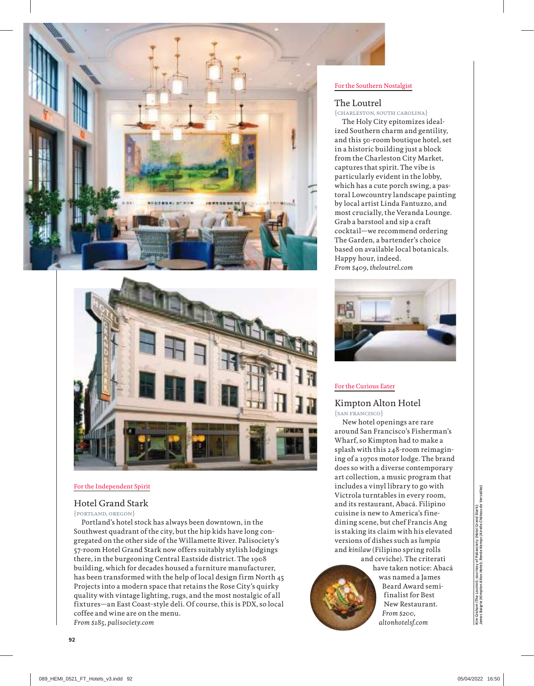



## For the Independent Spirit

## Hotel Grand Stark

{portland, oregon}

Portland's hotel stock has always been downtown, in the Southwest quadrant of the city, but the hip kids have long congregated on the other side of the Willamette River. Palisociety's 57-room Hotel Grand Stark now offers suitably stylish lodgings there, in the burgeoning Central Eastside district. The 1908 building, which for decades housed a furniture manufacturer, has been transformed with the help of local design firm North 45 Projects into a modern space that retains the Rose City's quirky quality with vintage lighting, rugs, and the most nostalgic of all fixtures—an East Coast–style deli. Of course, this is PDX, so local coffee and wine are on the menu. *From \$185, palisociety.com*

#### For the Southern Nostalgist

## The Loutrel

{charleston, south carolina}

The Holy City epitomizes idealized Southern charm and gentility, and this 50-room boutique hotel, set in a historic building just a block from the Charleston City Market, captures that spirit. The vibe is particularly evident in the lobby, which has a cute porch swing, a pastoral Lowcountry landscape painting by local artist Linda Fantuzzo, and most crucially, the Veranda Lounge. Grab a barstool and sip a craft cocktail—we recommend ordering The Garden, a bartender's choice based on available local botanicals. Happy hour, indeed. *From \$409, theloutrel.com*



#### For the Curious Eater

# Kimpton Alton Hotel

{san francisco}

New hotel openings are rare around San Francisco's Fisherman's Wharf, so Kimpton had to make a splash with this 248-room reimagining of a 1970s motor lodge. The brand does so with a diverse contemporary art collection, a music program that includes a vinyl library to go with Victrola turntables in every room, and its restaurant, Abacá. Filipino cuisine is new to America's finedining scene, but chef Francis Ang is staking its claim with his elevated versions of dishes such as *lumpia* and *kinilaw* (Filipino spring rolls



and ceviche). The criterati have taken notice: Abacá was named a James Beard Award semifinalist for Best New Restaurant. *From \$200, altonhotelsf.com*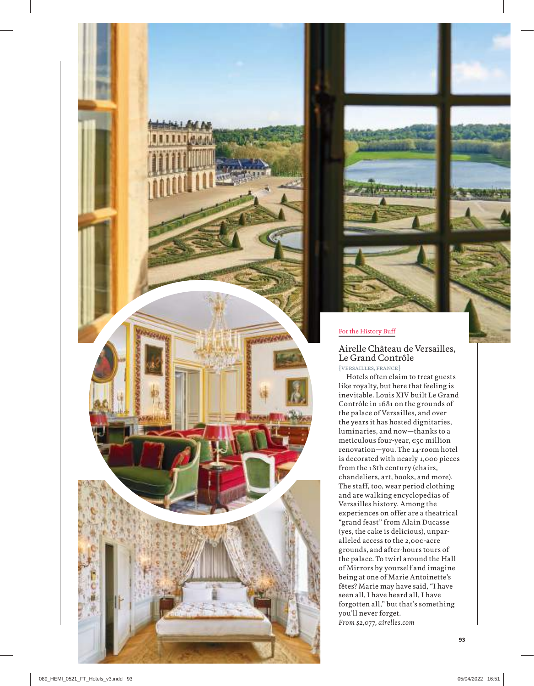





## For the History Buff

Airelle Château de Versailles, Le Grand Contrôle

{versailles, france}

Hotels often claim to treat guests like royalty, but here that feeling is inevitable. Louis XIV built Le Grand Contrôle in 1681 on the grounds of the palace of Versailles, and over the years it has hosted dignitaries, luminaries, and now—thanks to a meticulous four-year, €50 million renovation—you. The 14-room hotel is decorated with nearly 1,000 pieces from the 18th century (chairs, chandeliers, art, books, and more). The staff, too, wear period clothing and are walking encyclopedias of Versailles history. Among the experiences on offer are a theatrical "grand feast" from Alain Ducasse (yes, the cake is delicious), unpar alleled access to the 2,000-acre grounds, and after-hours tours of the palace. To twirl around the Hall of Mirrors by yourself and imagine being at one of Marie Antoinette's fêtes? Marie may have said, "I have seen all, I have heard all, I have forgotten all," but that's something you'll never forget. *From \$2,077, airelles.com*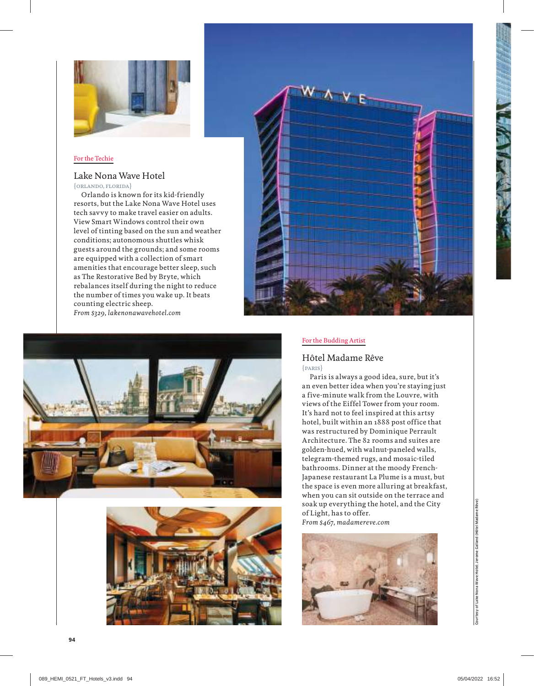

## For the Techie

## Lake Nona Wave Hotel

{orlando, florida}

Orlando is known for its kid-friendly resorts, but the Lake Nona Wave Hotel uses tech savvy to make travel easier on adults. View Smart Windows control their own level of tinting based on the sun and weather conditions; autonomous shuttles whisk guests around the grounds; and some rooms are equipped with a collection of smart amenities that encourage better sleep, such as The Restorative Bed by Bryte, which rebalances itself during the night to reduce the number of times you wake up. It beats counting electric sheep.

*From \$329, lakenonawavehotel.com*







## For the Budding Artist

#### Hôtel Madame Rêve {paris}

Paris is always a good idea, sure, but it's an even better idea when you're staying just a five-minute walk from the Louvre, with views of the Eiffel Tower from your room. It's hard not to feel inspired at this artsy hotel, built within an 1888 post office that was restructured by Dominique Perrault Architecture. The 82 rooms and suites are golden-hued, with walnut-paneled walls, telegram-themed rugs, and mosaic-tiled bathrooms. Dinner at the moody French-Japanese restaurant La Plume is a must, but the space is even more alluring at breakfast, when you can sit outside on the terrace and soak up everything the hotel, and the City of Light, has to offer. *From \$467, madamereve.com*

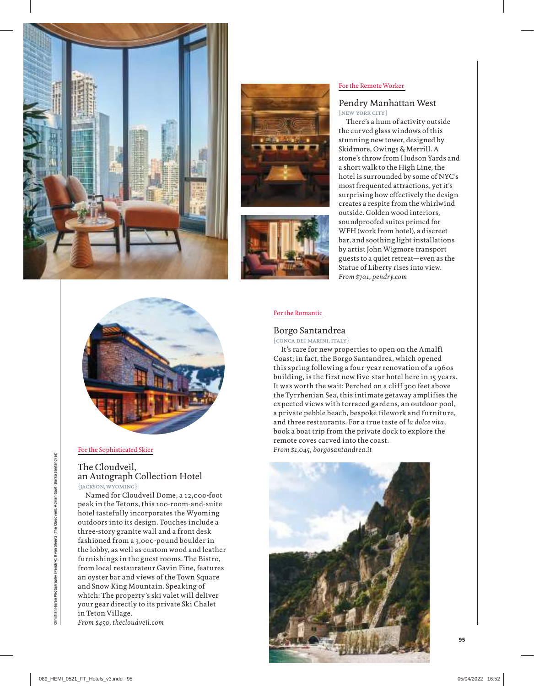





#### For the Remote Worker

#### Pendry Manhattan West {new york city}

There's a hum of activity outside the curved glass windows of this stunning new tower, designed by Skidmore, Owings & Merrill. A stone's throw from Hudson Yards and a short walk to the High Line, the hotel is surrounded by some of NYC's most frequented attractions, yet it's surprising how effectively the design creates a respite from the whirlwind outside. Golden wood interiors, soundproofed suites primed for WFH (work from hotel), a discreet bar, and soothing light installations by artist John Wigmore transport guests to a quiet retreat—even as the Statue of Liberty rises into view. *From \$701, pendry.com*



#### For the Sophisticated Skier

## The Cloudveil, an Autograph Collection Hotel {jackson, wyoming}

Named for Cloudveil Dome, a 12,000-foot peak in the Tetons, this 100-room-and-suite hotel tastefully incorporates the Wyoming outdoors into its design. Touches include a three-story granite wall and a front desk fashioned from a 3,000-pound boulder in the lobby, as well as custom wood and leather furnishings in the guest rooms. The Bistro, from local restaurateur Gavin Fine, features an oyster bar and views of the Town Square and Snow King Mountain. Speaking of which: The property's ski valet will deliver your gear directly to its private Ski Chalet in Teton Village.

*From \$450, thecloudveil.com*

#### For the Romantic

## Borgo Santandrea

{conca dei marini, italy}

It's rare for new properties to open on the Amalfi Coast; in fact, the Borgo Santandrea, which opened this spring following a four-year renovation of a 1960s building, is the first new five-star hotel here in 15 years. It was worth the wait: Perched on a cliff 300 feet above the Tyrrhenian Sea, this intimate getaway amplifies the expected views with terraced gardens, an outdoor pool, a private pebble beach, bespoke tilework and furniture, and three restaurants. For a true taste of *la dolce vita*, book a boat trip from the private dock to explore the remote coves carved into the coast. *From \$1,045, borgosantandrea.it*

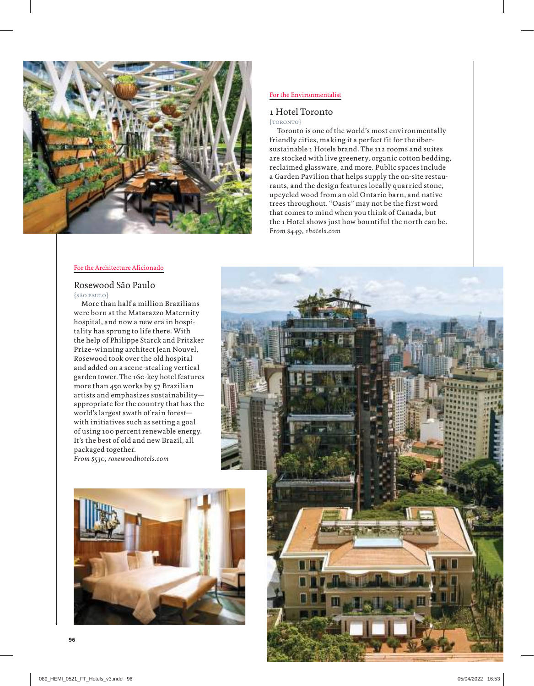

## For the Environmentalist

## 1 Hotel Toronto

#### {toronto}

Toronto is one of the world's most environmentally friendly cities, making it a perfect fit for the übersustainable 1 Hotels brand. The 112 rooms and suites are stocked with live greenery, organic cotton bedding, reclaimed glassware, and more. Public spaces include a Garden Pavilion that helps supply the on-site restaurants, and the design features locally quarried stone, upcycled wood from an old Ontario barn, and native trees throughout. "Oasis" may not be the first word that comes to mind when you think of Canada, but the 1 Hotel shows just how bountiful the north can be. *From \$449, 1hotels.com*

#### For the Architecture Aficionado

## Rosewood São Paulo {são paulo}

More than half a million Brazilians were born at the Matarazzo Maternity hospital, and now a new era in hospitality has sprung to life there. With the help of Philippe Starck and Pritzker Prize–winning architect Jean Nouvel, Rosewood took over the old hospital and added on a scene-stealing vertical garden tower. The 160-key hotel features more than 450 works by 57 Brazilian artists and emphasizes sustainability appropriate for the country that has the world's largest swath of rain forest with initiatives such as setting a goal of using 100 percent renewable energy. It's the best of old and new Brazil, all packaged together. *From \$530, rosewoodhotels.com*



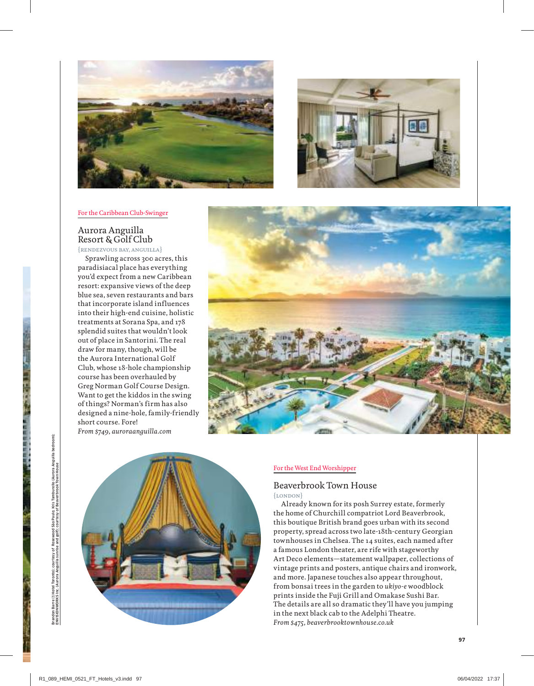



#### For the Caribbean Club-Swinger

## Aurora Anguilla Resort & Golf Club

{rendezvous bay, anguilla}

Sprawling across 300 acres, this paradisiacal place has everything you'd expect from a new Caribbean resort: expansive views of the deep blue sea, seven restaurants and bars that incorporate island influences into their high-end cuisine, holistic treatments at Sorana Spa, and 178 splendid suites that wouldn't look out of place in Santorini. The real draw for many, though, will be the Aurora International Golf Club, whose 18-hole championship course has been overhauled by Greg Norman Golf Course Design. Want to get the kiddos in the swing of things? Norman's firm has also designed a nine-hole, family-friendly short course. Fore! *From \$749, auroraanguilla.com*





#### For the West End Worshipper

# Beaverbrook Town House

{london}

Already known for its posh Surrey estate, formerly the home of Churchill compatriot Lord Beaverbrook, this boutique British brand goes urban with its second property, spread across two late-18th-century Georgian townhouses in Chelsea. The 14 suites, each named after a famous London theater, are rife with stageworthy Art Deco elements—statement wallpaper, collections of vintage prints and posters, antique chairs and ironwork, and more. Japanese touches also appear throughout, from bonsai trees in the garden to *ukiyo-e* woodblock prints inside the Fuji Grill and Omakase Sushi Bar. The details are all so dramatic they'll have you jumping in the next black cab to the Adelphi Theatre. *From \$475, beaverbrooktownhouse.co.uk*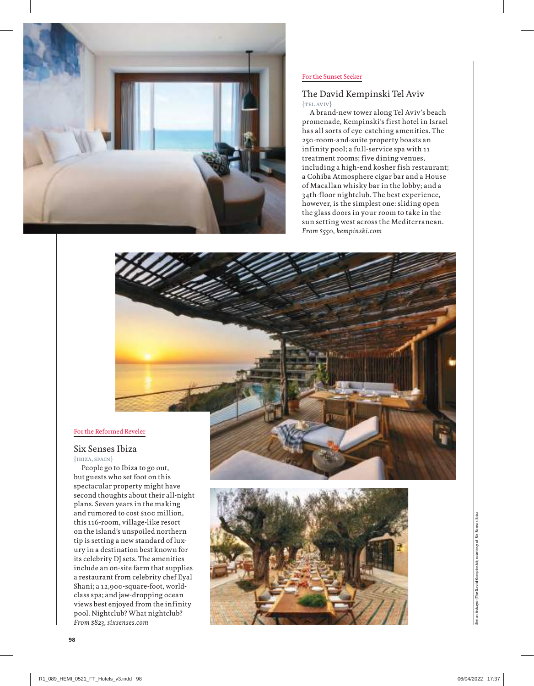

#### For the Sunset Seeker

## The David Kempinski Tel Aviv  ${TEL}$   $AVIV$

A brand-new tower along Tel Aviv's beach promenade, Kempinski's first hotel in Israel has all sorts of eye-catching amenities. The 250-room-and-suite property boasts an infinity pool; a full-service spa with 11 treatment rooms; five dining venues, including a high-end kosher fish restaurant; a Cohiba Atmosphere cigar bar and a House of Macallan whisky bar in the lobby; and a 34th-floor nightclub. The best experience, however, is the simplest one: sliding open the glass doors in your room to take in the sun setting west across the Mediterranean. *From \$550, kempinski.com*

### For the Reformed Reveler

## Six Senses Ibiza

 ${IBIZA, SPAIN}$ 

People go to Ibiza to go out, but guests who set foot on this spectacular property might have second thoughts about their all-night plans. Seven years in the making and rumored to cost \$100 million, this 116-room, village-like resort on the island's unspoiled northern tip is setting a new standard of luxury in a destination best known for its celebrity DJ sets. The amenities include an on-site farm that supplies a restaurant from celebrity chef Eyal Shani; a 12,900-square-foot, worldclass spa; and jaw-dropping ocean views best enjoyed from the infinity pool. Nightclub? What nightclub? *From \$823, sixsenses.com*